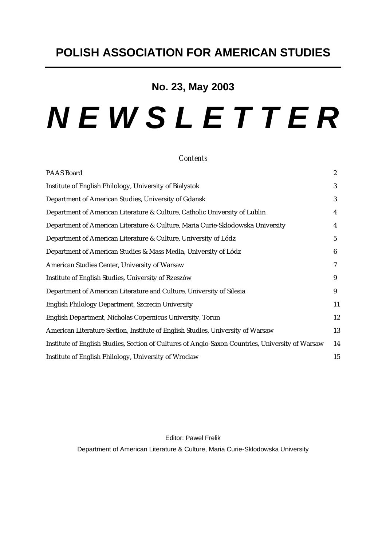# **No. 23, May 2003**

# *N E W S L E T T E R*

#### *Contents*

| PAAS Board                                                                                       | $\boldsymbol{2}$ |
|--------------------------------------------------------------------------------------------------|------------------|
| Institute of English Philology, University of Bialystok                                          | 3                |
| Department of American Studies, University of Gdansk                                             | 3                |
| Department of American Literature & Culture, Catholic University of Lublin                       | 4                |
| Department of American Literature & Culture, Maria Curie-Sklodowska University                   | 4                |
| Department of American Literature & Culture, University of Lódz                                  | $\overline{5}$   |
| Department of American Studies & Mass Media, University of Lódz                                  | 6                |
| American Studies Center, University of Warsaw                                                    | 7                |
| Institute of English Studies, University of Rzeszów                                              | 9                |
| Department of American Literature and Culture, University of Silesia                             | 9                |
| English Philology Department, Szczecin University                                                | 11               |
| English Department, Nicholas Copernicus University, Torun                                        | 12               |
| American Literature Section, Institute of English Studies, University of Warsaw                  | 13               |
| Institute of English Studies, Section of Cultures of Anglo-Saxon Countries, University of Warsaw | 14               |
| Institute of English Philology, University of Wroclaw                                            | 15               |

Editor: Pawel Frelik Department of American Literature & Culture, Maria Curie-Sklodowska University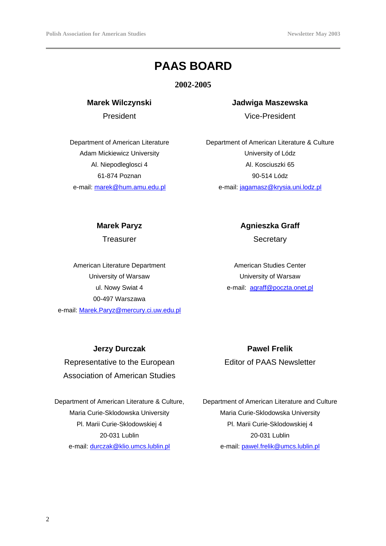# **PAAS BOARD**

**2002-2005**

**Marek Wilczynski**

President

Department of American Literature Adam Mickiewicz University Al. Niepodleglosci 4 61-874 Poznan e-mail: marek@hum.amu.edu.pl

# **Jadwiga Maszewska** Vice-President

Department of American Literature & Culture University of Lódz Al. Kosciuszki 65 90-514 Lódz e-mail: jagamasz@krysia.uni.lodz.pl

#### **Marek Paryz**

**Treasurer** 

American Literature Department University of Warsaw ul. Nowy Swiat 4 00-497 Warszawa e-mail: Marek.Paryz@mercury.ci.uw.edu.pl **Agnieszka Graff** 

**Secretary** 

American Studies Center University of Warsaw e-mail: agraff@poczta.onet.pl

#### **Jerzy Durczak**

Representative to the European Association of American Studies

Department of American Literature & Culture, Maria Curie-Sklodowska University Pl. Marii Curie-Sklodowskiej 4 20-031 Lublin e-mail: durczak@klio.umcs.lublin.pl

**Pawel Frelik**  Editor of PAAS Newsletter

Department of American Literature and Culture Maria Curie-Sklodowska University Pl. Marii Curie-Sklodowskiej 4 20-031 Lublin e-mail: pawel.frelik@umcs.lublin.pl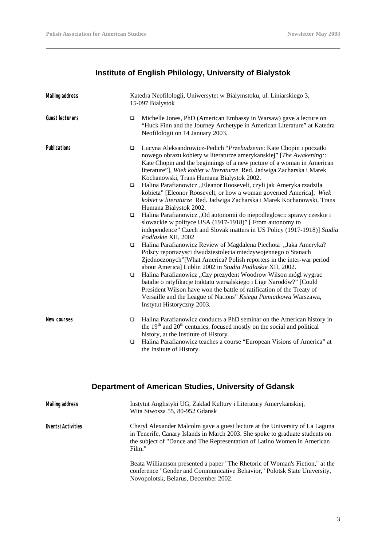# **Institute of English Philology, University of Bialystok**

| <b>Mailing address</b> |             | Katedra Neofilologii, Uniwersytet w Bialymstoku, ul. Liniarskiego 3,<br>15-097 Bialystok                                                                                                                                                                                                                                                   |  |
|------------------------|-------------|--------------------------------------------------------------------------------------------------------------------------------------------------------------------------------------------------------------------------------------------------------------------------------------------------------------------------------------------|--|
| <b>Guest lecturers</b> | □           | Michelle Jones, PhD (American Embassy in Warsaw) gave a lecture on<br>"Huck Finn and the Journey Archetype in American Literature" at Katedra<br>Neofilologii on 14 January 2003.                                                                                                                                                          |  |
| Publications           | $\Box$      | Lucyna Aleksandrowicz-Pedich "Przebudzenie: Kate Chopin i poczatki<br>nowego obrazu kobiety w literaturze amerykanskiej" [The Awakening::<br>Kate Chopin and the beginnings of a new picture of a woman in American<br>literature"], Wiek kobiet w literaturze Red. Jadwiga Zacharska i Marek<br>Kochanowski, Trans Humana Bialystok 2002. |  |
|                        | $\Box$      | Halina Parafianowicz "Eleanor Roosevelt, czyli jak Ameryka rzadzila<br>kobieta" [Eleonor Roosevelt, or how a woman governed America], Wiek<br>kobiet w literaturze Red. Jadwiga Zacharska i Marek Kochanowski, Trans<br>Humana Bialystok 2002.                                                                                             |  |
|                        | $\Box$      | Halina Parafianowicz "Od autonomii do niepodleglosci: sprawy czeskie i<br>slowackie w polityce USA (1917-1918)" [From autonomy to<br>independence" Czech and Slovak matters in US Policy (1917-1918)] Studia<br>Podlaskie XII, 2002                                                                                                        |  |
|                        | $\Box$      | Halina Parafianowicz Review of Magdalena Piechota "Jaka Ameryka?<br>Polscy reportazysci dwudziestolecia miedzywojennego o Stanach<br>Zjednoczonych"[What America? Polish reporters in the inter-war period<br>about America] Lublin 2002 in Studia Podlaskie XII, 2002.                                                                    |  |
|                        | $\Box$      | Halina Parafianowicz "Czy prezydent Woodrow Wilson mógl wygrac<br>batalie o ratyfikacje traktatu wersalskiego i Lige Narodów?" [Could<br>President Wilson have won the battle of ratification of the Treaty of<br>Versaille and the League of Nations" Ksiega Pamiatkowa Warszawa,<br>Instytut Historyczny 2003.                           |  |
| New courses            | ◻<br>$\Box$ | Halina Parafianowicz conducts a PhD seminar on the American history in<br>the $19th$ and $20th$ centuries, focused mostly on the social and political<br>history, at the Institute of History.<br>Halina Parafianowicz teaches a course "European Visions of America" at<br>the Insitute of History.                                       |  |

# **Department of American Studies, University of Gdansk**

| <b>Mailing address</b> | Instytut Anglistyki UG, Zaklad Kultury i Literatury Amerykanskiej,<br>Wita Stwosza 55, 80-952 Gdansk                                                                                                                                               |
|------------------------|----------------------------------------------------------------------------------------------------------------------------------------------------------------------------------------------------------------------------------------------------|
| Events/Activities      | Cheryl Alexander Malcolm gave a guest lecture at the University of La Laguna<br>in Tenerife, Canary Islands in March 2003. She spoke to graduate students on<br>the subject of "Dance and The Representation of Latino Women in American<br>Film." |
|                        | Beata Williamson presented a paper "The Rhetoric of Woman's Fiction," at the<br>conference "Gender and Communicative Behavior," Polotsk State University,<br>Novopolotsk, Belarus, December 2002.                                                  |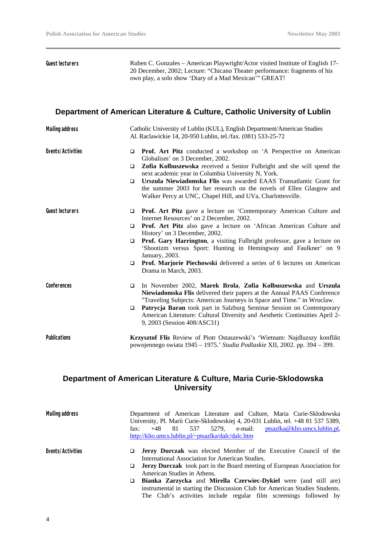**Guest lecturers** Ruben C. Gonzales – American Playwright/Actor visited Institute of English 17- 20 December, 2002; Lecture: "Chicano Theater performance: fragments of his own play, a solo show 'Diary of a Mad Mexican'" GREAT!

#### **Department of American Literature & Culture, Catholic University of Lublin**

| <b>Mailing address</b> | Catholic University of Lublin (KUL), English Department/American Studies<br>Al. Raclawickie 14, 20-950 Lublin, tel./fax. (081) 533-25-72                                                                                                                                                                                                                                                                                                                                                                                                          |
|------------------------|---------------------------------------------------------------------------------------------------------------------------------------------------------------------------------------------------------------------------------------------------------------------------------------------------------------------------------------------------------------------------------------------------------------------------------------------------------------------------------------------------------------------------------------------------|
| Events/Activities      | <b>Prof.</b> Art Pitz conducted a workshop on 'A Perspective on American<br>$\Box$<br>Globalism' on 3 December, 2002.<br>Zofia Kolbuszewska received a Senior Fulbright and she will spend the<br>$\Box$<br>next academic year in Columbia University N, York.<br>Urszula Niewiadomska Flis was awarded EAAS Transatlantic Grant for<br>$\Box$<br>the summer 2003 for her research on the novels of Ellen Glasgow and<br>Walker Percy at UNC, Chapel Hill, and UVa, Charlottesville.                                                              |
| <b>Guest lecturers</b> | <b>Prof.</b> Art Pitz gave a lecture on 'Contemporary American Culture and<br>$\Box$<br>Internet Resources' on 2 December, 2002.<br>Prof. Art Pitz also gave a lecture on 'African American Culture and<br>$\Box$<br>History' on 3 December, 2002.<br>Prof. Gary Harrington, a visiting Fulbright professor, gave a lecture on<br>$\Box$<br>'Shootizm versus Sport: Hunting in Hemingway and Faulkner' on 9<br>January, 2003.<br><b>Prof. Marjorie Piechowski</b> delivered a series of 6 lectures on American<br>$\Box$<br>Drama in March, 2003. |
| Conferences            | In November 2002, Marek Brola, Zofia Kolbuszewska and Urszula<br>$\Box$<br><b>Niewiadomska Flis delivered their papers at the Annual PAAS Conference</b><br>"Traveling Subjects: American Journeys in Space and Time." in Wroclaw.<br>Patrycja Baran took part in Salzburg Seminar Session on Contemporary<br>$\Box$<br>American Literature: Cultural Diversity and Aesthetic Continuities April 2-<br>9, 2003 (Session 408/ASC31)                                                                                                                |
| <b>Publications</b>    | Krzysztof Flis Review of Piotr Ostaszewski's 'Wietnam: Najdluzszy konflikt<br>powojennego swiata 1945 - 1975.' Studia Podlaskie XII, 2002. pp. 394 - 399.                                                                                                                                                                                                                                                                                                                                                                                         |

#### **Department of American Literature & Culture, Maria Curie-Sklodowska University**

| <b>Mailing address</b> | Department of American Literature and Culture, Maria Curie-Sklodowska<br>University, Pl. Marii Curie-Sklodowskiej 4, 20-031 Lublin, tel. +48 81 537 5389,<br>5279, e-mail: ptsazlka@klio.umcs.lublin.pl,<br>$+48$ 81 537<br>fax:<br>http://klio.umcs.lublin.pl/~ptsazlka/dalc/dalc.htm |
|------------------------|----------------------------------------------------------------------------------------------------------------------------------------------------------------------------------------------------------------------------------------------------------------------------------------|
| Events/Activities      | <b>Jerzy Durczak</b> was elected Member of the Executive Council of the<br>International Association for American Studies.                                                                                                                                                             |
|                        | <b>Jerzy Durczak</b> took part in the Board meeting of European Association for<br>$\Box$<br>American Studies in Athens.                                                                                                                                                               |
|                        | Bianka Zarzycka and Mirella Czerwiec-Dykiel were (and still are)<br>instrumental in starting the Discussion Club for American Studies Students.                                                                                                                                        |

The Club's activities include regular film screenings followed by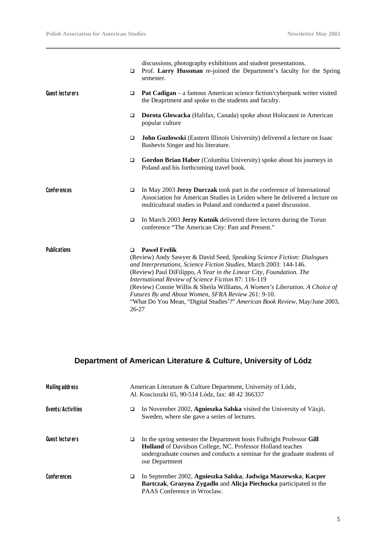|                        | □              | discussions, photography exhibitions and student presentations.<br>Prof. Larry Hussman re-joined the Department's faculty for the Spring<br>semester.                                                                                                                                                                                                                                                                                                                                                                 |
|------------------------|----------------|-----------------------------------------------------------------------------------------------------------------------------------------------------------------------------------------------------------------------------------------------------------------------------------------------------------------------------------------------------------------------------------------------------------------------------------------------------------------------------------------------------------------------|
| <b>Guest lecturers</b> | ▫              | Pat Cadigan – a famous American science fiction/cyberpunk writer visited<br>the Deaprtment and spoke to the students and faculty.                                                                                                                                                                                                                                                                                                                                                                                     |
|                        | □              | Dorota Glowacka (Halifax, Canada) spoke about Holocaust in American<br>popular culture                                                                                                                                                                                                                                                                                                                                                                                                                                |
|                        | □              | John Guzlowski (Eastern Illinois University) delivered a lecture on Isaac<br>Bashevis Singer and his literature.                                                                                                                                                                                                                                                                                                                                                                                                      |
|                        | $\Box$         | Gordon Brian Haber (Columbia University) spoke about his journeys in<br>Poland and his forthcoming travel book.                                                                                                                                                                                                                                                                                                                                                                                                       |
| Conferences            | □              | In May 2003 Jerzy Durczak took part in the conference of International<br>Association for American Studies in Leiden where he delivered a lecture on<br>multicultural studies in Poland and conducted a panel discussion.                                                                                                                                                                                                                                                                                             |
|                        | $\Box$         | In March 2003 Jerzy Kutnik delivered three lectures during the Torun<br>conference "The American City: Past and Present."                                                                                                                                                                                                                                                                                                                                                                                             |
| <b>Publications</b>    | □<br>$26 - 27$ | <b>Pawel Frelik</b><br>(Review) Andy Sawyer & David Seed, Speaking Science Fiction: Dialogues<br>and Interpretations, Science Fiction Studies, March 2003: 144-146.<br>(Review) Paul DiFilippo, A Year in the Linear City, Foundation. The<br>International Review of Science Fiction 87: 116-119<br>(Review) Connie Willis & Sheila Williams, A Women's Liberation. A Choice of<br>Futures By and About Women, SFRA Review 261: 9-10.<br>"What Do You Mean, "Digital Studies'?" American Book Review, May/June 2003, |

# **Department of American Literature & Culture, University of Lódz**

| <b>Mailing address</b> |   | American Literature & Culture Department, University of Lódz,<br>Al. Kosciuszki 65, 90-514 Lódz, fax: 48 42 366337                                                                                                                       |
|------------------------|---|------------------------------------------------------------------------------------------------------------------------------------------------------------------------------------------------------------------------------------------|
| Events/Activities      | □ | In November 2002, Agnieszka Salska visited the University of Växjö,<br>Sweden, where she gave a series of lectures.                                                                                                                      |
| Guest lecturers        | o | In the spring semester the Department hosts Fulbright Professor Gill<br><b>Holland</b> of Davidson College, NC. Professor Holland teaches<br>undergraduate courses and conducts a seminar for the graduate students of<br>our Department |
| Conferences            | ❏ | In September 2002, Agnieszka Salska, Jadwiga Maszewska, Kacper<br>Bartczak, Grazyna Zygadlo and Alicja Piechucka participated in the<br>PAAS Conference in Wroclaw.                                                                      |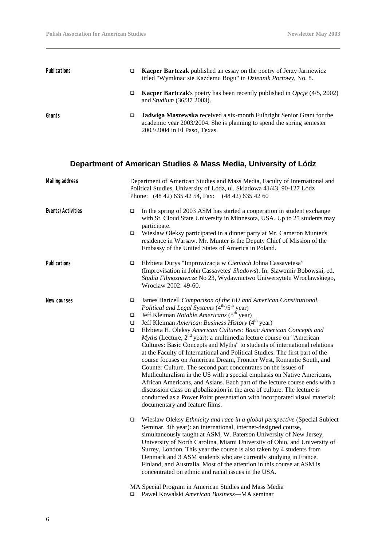| <b>Publications</b> | a. | <b>Kacper Bartczak</b> published an essay on the poetry of Jerzy Jarniewicz<br>titled "Wymknac sie Kazdemu Bogu" in Dziennik Portowy, No. 8.                                          |
|---------------------|----|---------------------------------------------------------------------------------------------------------------------------------------------------------------------------------------|
|                     | o. | <b>Kacper Bartczak</b> 's poetry has been recently published in <i>Opcje</i> (4/5, 2002)<br>and <i>Studium</i> (36/37 2003).                                                          |
| Grants              |    | <b>Jadwiga Maszewska</b> received a six-month Fulbright Senior Grant for the<br>academic year 2003/2004. She is planning to spend the spring semester<br>2003/2004 in El Paso, Texas. |

# **Department of American Studies & Mass Media, University of Lódz**

| <b>Mailing address</b> | Department of American Studies and Mass Media, Faculty of International and<br>Political Studies, University of Lódz, ul. Skladowa 41/43, 90-127 Lódz<br>Phone: (48 42) 635 42 54, Fax: (48 42) 635 42 60 |                                                                                                                                                                                                                                                                                                                                                                                                                                                                                                                                                                                                                                                                                                                                                                                                                                                                                                                                                                                                                                                                                       |
|------------------------|-----------------------------------------------------------------------------------------------------------------------------------------------------------------------------------------------------------|---------------------------------------------------------------------------------------------------------------------------------------------------------------------------------------------------------------------------------------------------------------------------------------------------------------------------------------------------------------------------------------------------------------------------------------------------------------------------------------------------------------------------------------------------------------------------------------------------------------------------------------------------------------------------------------------------------------------------------------------------------------------------------------------------------------------------------------------------------------------------------------------------------------------------------------------------------------------------------------------------------------------------------------------------------------------------------------|
| Events/Activities      | $\Box$<br>$\Box$                                                                                                                                                                                          | In the spring of 2003 ASM has started a cooperation in student exchange<br>with St. Cloud State University in Minnesota, USA. Up to 25 students may<br>participate.<br>Wieslaw Oleksy participated in a dinner party at Mr. Cameron Munter's<br>residence in Warsaw. Mr. Munter is the Deputy Chief of Mission of the<br>Embassy of the United States of America in Poland.                                                                                                                                                                                                                                                                                                                                                                                                                                                                                                                                                                                                                                                                                                           |
| Publications           | ❏                                                                                                                                                                                                         | Elzbieta Durys "Improwizacja w Cieniach Johna Cassavetesa"<br>(Improvisation in John Cassavetes' Shadows). In: Slawomir Bobowski, ed.<br>Studia Filmoznawcze No 23, Wydawnictwo Uniwersytetu Wroclawskiego,<br>Wroclaw 2002: 49-60.                                                                                                                                                                                                                                                                                                                                                                                                                                                                                                                                                                                                                                                                                                                                                                                                                                                   |
| New courses            | $\Box$<br>▫<br>$\Box$<br>$\Box$                                                                                                                                                                           | James Hartzell Comparison of the EU and American Constitutional,<br>Political and Legal Systems (4 <sup>th/</sup> /5 <sup>th</sup> year)<br>Jeff Kleiman Notable Americans (5 <sup>th</sup> year)<br>Jeff Kleiman American Business History (4 <sup>th</sup> year)<br>Elzbieta H. Oleksy American Cultures: Basic American Concepts and<br><i>Myths</i> (Lecture, $2nd$ year): a multimedia lecture course on "American"<br>Cultures: Basic Concepts and Myths" to students of international relations<br>at the Faculty of International and Political Studies. The first part of the<br>course focuses on American Dream, Frontier West, Romantic South, and<br>Counter Culture. The second part concentrates on the issues of<br>Mutliculturalism in the US with a special emphasis on Native Americans,<br>African Americans, and Asians. Each part of the lecture course ends with a<br>discussion class on globalization in the area of culture. The lecture is<br>conducted as a Power Point presentation with incorporated visual material:<br>documentary and feature films. |
|                        | $\Box$                                                                                                                                                                                                    | Wieslaw Oleksy Ethnicity and race in a global perspective (Special Subject<br>Seminar, 4th year): an international, internet-designed course,<br>simultaneously taught at ASM, W. Paterson University of New Jersey,<br>University of North Carolina, Miami University of Ohio, and University of<br>Surrey, London. This year the course is also taken by 4 students from<br>Denmark and 3 ASM students who are currently studying in France,<br>Finland, and Australia. Most of the attention in this course at ASM is<br>concentrated on ethnic and racial issues in the USA.                                                                                                                                                                                                                                                                                                                                                                                                                                                                                                      |
|                        |                                                                                                                                                                                                           | MA Special Program in American Studies and Mass Media<br>□ Pawel Kowalski American Business—MA seminar                                                                                                                                                                                                                                                                                                                                                                                                                                                                                                                                                                                                                                                                                                                                                                                                                                                                                                                                                                                |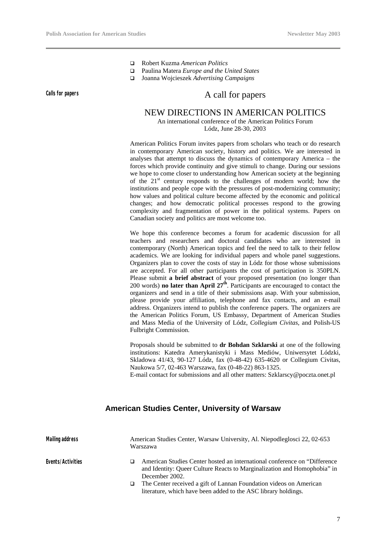- q Robert Kuzma *American Politics*
- q Paulina Matera *Europe and the United States*
- q Joanna Wojcieszek *Advertising Campaigns*

# **Calls for papers** Calls for papers A call for papers

#### NEW DIRECTIONS IN AMERICAN POLITICS

An international conference of the American Politics Forum Lódz, June 28-30, 2003

American Politics Forum invites papers from scholars who teach or do research in contemporary American society, history and politics. We are interested in analyses that attempt to discuss the dynamics of contemporary America – the forces which provide continuity and give stimuli to change. During our sessions we hope to come closer to understanding how American society at the beginning of the 21<sup>st</sup> century responds to the challenges of modern world; how the institutions and people cope with the pressures of post-modernizing community; how values and political culture become affected by the economic and political changes; and how democratic political processes respond to the growing complexity and fragmentation of power in the political systems. Papers on Canadian society and politics are most welcome too.

We hope this conference becomes a forum for academic discussion for all teachers and researchers and doctoral candidates who are interested in contemporary (North) American topics and feel the need to talk to their fellow academics. We are looking for individual papers and whole panel suggestions. Organizers plan to cover the costs of stay in Lódz for those whose submissions are accepted. For all other participants the cost of participation is 350PLN. Please submit **a brief abstract** of your proposed presentation (no longer than 200 words) **no later than April 27th**. Participants are encouraged to contact the organizers and send in a title of their submissions asap. With your submission, please provide your affiliation, telephone and fax contacts, and an e-mail address. Organizers intend to publish the conference papers. The organizers are the American Politics Forum, US Embassy, Department of American Studies and Mass Media of the University of Lódz, *Collegium Civitas,* and Polish-US Fulbright Commission.

Proposals should be submitted to **dr Bohdan Szklarski** at one of the following institutions: Katedra Amerykanistyki i Mass Mediów, Uniwersytet Lódzki, Skladowa 41/43, 90-127 Lódz, fax (0-48-42) 635-4620 or Collegium Civitas, Naukowa 5/7, 02-463 Warszawa, fax (0-48-22) 863-1325.

E-mail contact for submissions and all other matters: Szklarscy@poczta.onet.pl

#### **American Studies Center, University of Warsaw**

| <b>Mailing address</b> | American Studies Center, Warsaw University, Al. Niepodleglosci 22, 02-653<br>Warszawa                                                                                    |
|------------------------|--------------------------------------------------------------------------------------------------------------------------------------------------------------------------|
| Events/Activities      | American Studies Center hosted an international conference on "Difference"<br>and Identity: Queer Culture Reacts to Marginalization and Homophobia" in<br>December 2002. |
|                        | The Center received a gift of Lannan Foundation videos on American<br>literature, which have been added to the ASC library holdings.                                     |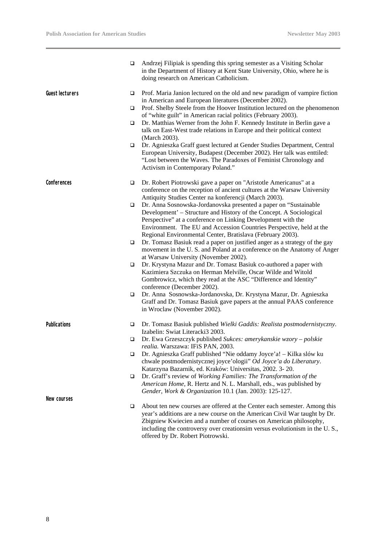$\overline{\phantom{0}}$ 

|                        | ❏ | Andrzej Filipiak is spending this spring semester as a Visiting Scholar<br>in the Department of History at Kent State University, Ohio, where he is<br>doing research on American Catholicism.                                                                                                                                                  |
|------------------------|---|-------------------------------------------------------------------------------------------------------------------------------------------------------------------------------------------------------------------------------------------------------------------------------------------------------------------------------------------------|
| <b>Guest lecturers</b> | ❏ | Prof. Maria Janion lectured on the old and new paradigm of vampire fiction                                                                                                                                                                                                                                                                      |
|                        | □ | in American and European literatures (December 2002).<br>Prof. Shelby Steele from the Hoover Institution lectured on the phenomenon<br>of "white guilt" in American racial politics (February 2003).                                                                                                                                            |
|                        | □ | Dr. Matthias Werner from the John F. Kennedy Institute in Berlin gave a<br>talk on East-West trade relations in Europe and their political context<br>(March 2003).                                                                                                                                                                             |
|                        | □ | Dr. Agnieszka Graff guest lectured at Gender Studies Department, Central<br>European University, Budapest (December 2002). Her talk was enttiled:<br>"Lost between the Waves. The Paradoxes of Feminist Chronology and<br>Activism in Contemporary Poland."                                                                                     |
| Conferences            | □ | Dr. Robert Piotrowski gave a paper on "Aristotle Americanus" at a<br>conference on the reception of ancient cultures at the Warsaw University                                                                                                                                                                                                   |
|                        |   | Antiquity Studies Center na konferencji (March 2003).                                                                                                                                                                                                                                                                                           |
|                        | □ | Dr. Anna Sosnowska-Jordanovska presented a paper on "Sustainable<br>Development' - Structure and History of the Concept. A Sociological                                                                                                                                                                                                         |
|                        |   | Perspective" at a conference on Linking Development with the                                                                                                                                                                                                                                                                                    |
|                        |   | Environment. The EU and Accession Countries Perspective, held at the                                                                                                                                                                                                                                                                            |
|                        | □ | Regional Environmental Center, Bratislava (February 2003).<br>Dr. Tomasz Basiuk read a paper on justified anger as a strategy of the gay                                                                                                                                                                                                        |
|                        |   | movement in the U.S. and Poland at a conference on the Anatomy of Anger<br>at Warsaw University (November 2002).                                                                                                                                                                                                                                |
|                        | □ | Dr. Krystyna Mazur and Dr. Tomasz Basiuk co-authored a paper with                                                                                                                                                                                                                                                                               |
|                        |   | Kazimiera Szczuka on Herman Melville, Oscar Wilde and Witold<br>Gombrowicz, which they read at the ASC "Difference and Identity"<br>conference (December 2002).                                                                                                                                                                                 |
|                        | ❏ | Dr. Anna Sosnowska-Jordanovska, Dr. Krystyna Mazur, Dr. Agnieszka                                                                                                                                                                                                                                                                               |
|                        |   | Graff and Dr. Tomasz Basiuk gave papers at the annual PAAS conference<br>in Wroclaw (November 2002).                                                                                                                                                                                                                                            |
| <b>Publications</b>    | □ | Dr. Tomasz Basiuk published Wielki Gaddis: Realista postmodernistyczny.<br>Izabelin: Swiat Literacki3 2003.                                                                                                                                                                                                                                     |
|                        | □ | Dr. Ewa Grzeszczyk published Sukces: amerykanskie wzory – polskie<br>realia. Warszawa: IFiS PAN, 2003.                                                                                                                                                                                                                                          |
|                        | □ | Dr. Agnieszka Graff published "Nie oddamy Joyce'a! - Kilka slów ku<br>chwale postmodernistycznej joyce'ologii" Od Joyce'a do Liberatury.                                                                                                                                                                                                        |
|                        |   | Katarzyna Bazarnik, ed. Kraków: Universitas, 2002. 3-20.                                                                                                                                                                                                                                                                                        |
|                        | □ | Dr. Graff's review of Working Families: The Transformation of the<br>American Home, R. Hertz and N. L. Marshall, eds., was published by<br>Gender, Work & Organization 10.1 (Jan. 2003): 125-127.                                                                                                                                               |
| New courses            |   |                                                                                                                                                                                                                                                                                                                                                 |
|                        | ❏ | About ten new courses are offered at the Center each semester. Among this<br>year's additions are a new course on the American Civil War taught by Dr.<br>Zbigniew Kwiecien and a number of courses on American philosophy,<br>including the controversy over creationsim versus evolutionism in the U.S.,<br>offered by Dr. Robert Piotrowski. |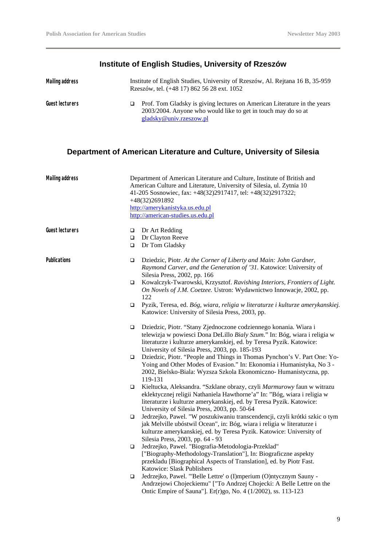# **Institute of English Studies, University of Rzeszów**

| Mailing address | Institute of English Studies, University of Rzeszów, Al. Rejtana 16 B, 35-959<br>Rzeszów, tel. (+48 17) 862 56 28 ext. 1052                                          |
|-----------------|----------------------------------------------------------------------------------------------------------------------------------------------------------------------|
| Guest lecturers | Prof. Tom Gladsky is giving lectures on American Literature in the years<br>2003/2004. Anyone who would like to get in touch may do so at<br>gladsky@univ.rzeszow.pl |

# **Department of American Literature and Culture, University of Silesia**

| <b>Mailing address</b> |                            | Department of American Literature and Culture, Institute of British and<br>American Culture and Literature, University of Silesia, ul. Zytnia 10<br>41-205 Sosnowiec, fax: +48(32)2917417, tel: +48(32)2917322;<br>+48(32)2691892<br>http://amerykanistyka.us.edu.pl<br>http://american-studies.us.edu.pl                         |
|------------------------|----------------------------|-----------------------------------------------------------------------------------------------------------------------------------------------------------------------------------------------------------------------------------------------------------------------------------------------------------------------------------|
| <b>Guest lecturers</b> | $\Box$<br>$\Box$<br>$\Box$ | Dr Art Redding<br>Dr Clayton Reeve<br>Dr Tom Gladsky                                                                                                                                                                                                                                                                              |
| <b>Publications</b>    | $\Box$<br>$\Box$           | Dziedzic, Piotr. At the Corner of Liberty and Main: John Gardner,<br>Raymond Carver, and the Generation of '31. Katowice: University of<br>Silesia Press, 2002, pp. 166<br>Kowalczyk-Twarowski, Krzysztof. Ravishing Interiors, Frontiers of Light.<br>On Novels of J.M. Coetzee. Ustron: Wydawnictwo Innowacje, 2002, pp.<br>122 |
|                        | ▫                          | Pyzik, Teresa, ed. Bóg, wiara, religia w literaturze i kulturze amerykanskiej.<br>Katowice: University of Silesia Press, 2003, pp.                                                                                                                                                                                                |
|                        | $\Box$                     | Dziedzic, Piotr. "Stany Zjednoczone codziennego konania. Wiara i<br>telewizja w powiesci Dona DeLillo Biały Szum." In: Bóg, wiara i religia w<br>literaturze i kulturze amerykanskiej, ed. by Teresa Pyzik. Katowice:<br>University of Silesia Press, 2003, pp. 185-193                                                           |
|                        | □                          | Dziedzic, Piotr. "People and Things in Thomas Pynchon's V. Part One: Yo-<br>Yoing and Other Modes of Evasion." In: Ekonomia i Humanistyka, No 3 -<br>2002, Bielsko-Biala: Wyzsza Szkola Ekonomiczno- Humanistyczna, pp.<br>119-131                                                                                                |
|                        | $\Box$                     | Kieltucka, Aleksandra. "Szklane obrazy, czyli Marmurowy faun w witrazu<br>eklektycznej religii Nathaniela Hawthorne'a" In: "Bóg, wiara i religia w<br>literaturze i kulturze amerykanskiej, ed. by Teresa Pyzik. Katowice:<br>University of Silesia Press, 2003, pp. 50-64                                                        |
|                        | ▫                          | Jedrzejko, Pawel. "W poszukiwaniu transcendencji, czyli krótki szkic o tym<br>jak Melville ubóstwil Ocean", in: Bóg, wiara i religia w literaturze i<br>kulturze amerykanskiej, ed. by Teresa Pyzik. Katowice: University of<br>Silesia Press, 2003, pp. 64 - 93                                                                  |
|                        | $\Box$                     | Jedrzejko, Pawel. "Biografia-Metodologia-Przeklad"<br>["Biography-Methodology-Translation"], In: Biograficzne aspekty<br>przekladu [Biographical Aspects of Translation], ed. by Piotr Fast.<br>Katowice: Slask Publishers                                                                                                        |
|                        | $\Box$                     | Jedrzejko, Pawel. "'Belle Lettre' o (I)mperium (O)ntycznym Sauny -<br>Andrzejowi Chojeckiemu" ["To Andrzej Chojecki: A Belle Lettre on the<br>Ontic Empire of Sauna"]. Er(r)go, No. 4 (1/2002), ss. 113-123                                                                                                                       |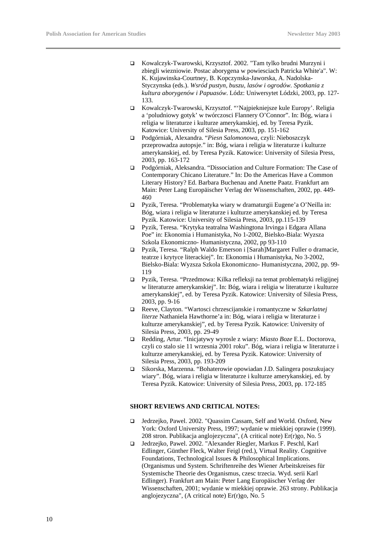- q Kowalczyk-Twarowski, Krzysztof. 2002. "Tam tylko brudni Murzyni i zbiegli wiezniowie. Postac aborygena w powiesciach Patricka White'a". W: K. Kujawinska-Courtney, B. Kopczynska-Jaworska, A. Nadolska-Styczynska (eds.). *Wsród pustyn, buszu, lasów i ogrodów. Spotkania z kultura aborygenów i Papuasów*. Lódz: Uniwersytet Lódzki, 2003, pp. 127- 133.
- q Kowalczyk-Twarowski, Krzysztof. "'Najpiekniejsze kule Europy'. Religia a 'poludniowy gotyk' w twórczosci Flannery O'Connor". In: Bóg, wiara i religia w literaturze i kulturze amerykanskiej, ed. by Teresa Pyzik. Katowice: University of Silesia Press, 2003, pp. 151-162
- q Podgórniak, Alexandra. "*Piesn Salomonowa,* czyli: Nieboszczyk przeprowadza autopsje." in: Bóg, wiara i religia w literaturze i kulturze amerykanskiej, ed. by Teresa Pyzik. Katowice: University of Silesia Press, 2003, pp. 163-172
- q Podgórniak, Aleksandra. "Dissociation and Culture Formation: The Case of Contemporary Chicano Literature." In: Do the Americas Have a Common Literary History? Ed. Barbara Buchenau and Anette Paatz. Frankfurt am Main: Peter Lang Europäischer Verlag der Wissenschaften, 2002, pp. 449- 460
- □ Pyzik, Teresa. "Problematyka wiary w dramaturgii Eugene'a O'Neilla in: Bóg, wiara i religia w literaturze i kulturze amerykanskiej ed. by Teresa Pyzik. Katowice: University of Silesia Press, 2003, pp.115-139
- q Pyzik, Teresa. "Krytyka teatralna Washingtona Irvinga i Edgara Allana Poe" in: Ekonomia i Humanistyka, No 1-2002, Bielsko-Biala: Wyzsza Szkola Ekonomiczno- Humanistyczna, 2002, pp 93-110
- q Pyzik, Teresa. "Ralph Waldo Emerson i [Sarah]Margaret Fuller o dramacie, teatrze i krytyce literackiej". In: Ekonomia i Humanistyka, No 3-2002, Bielsko-Biala: Wyzsza Szkola Ekonomiczno- Humanistyczna, 2002, pp. 99- 119
- q Pyzik, Teresa. "Przedmowa: Kilka refleksji na temat problematyki religijnej w literaturze amerykanskiej". In: Bóg, wiara i religia w literaturze i kulturze amerykanskiej", ed. by Teresa Pyzik. Katowice: University of Silesia Press, 2003, pp. 9-16
- q Reeve, Clayton. "Wartosci chrzescijanskie i romantyczne w *Szkarlatnej literze* Nathaniela Hawthorne'a in: Bóg, wiara i religia w literaturze i kulturze amerykanskiej", ed. by Teresa Pyzik. Katowice: University of Silesia Press, 2003, pp. 29-49
- q Redding, Artur. "Inicjatywy wyrosle z wiary: *Miasto Boze* E.L. Doctorova, czyli co stalo sie 11 wrzesnia 2001 roku". Bóg, wiara i religia w literaturze i kulturze amerykanskiej, ed. by Teresa Pyzik. Katowice: University of Silesia Press, 2003, pp. 193-209
- q Sikorska, Marzenna. "Bohaterowie opowiadan J.D. Salingera poszukujacy wiary". Bóg, wiara i religia w literaturze i kulturze amerykanskiej, ed. by Teresa Pyzik. Katowice: University of Silesia Press, 2003, pp. 172-185

#### **SHORT REVIEWS AND CRITICAL NOTES:**

- □ Jedrzejko, Pawel. 2002. "Quassim Cassam, Self and World. Oxford, New York: Oxford University Press, 1997; wydanie w miekkiej oprawie (1999). 208 stron. Publikacja anglojezyczna", (A critical note) Er(r)go, No. 5
- q Jedrzejko, Pawel. 2002. "Alexander Riegler, Markus F. Peschl, Karl Edlinger, Günther Fleck, Walter Feigl (red.), Virtual Reality. Cognitive Foundations, Technological Issues & Philosophical Implications. (Organismus und System. Schriftenreihe des Wiener Arbeitskreises für Systemische Theorie des Organismus, czesc trzecia. Wyd. serii Karl Edlinger). Frankfurt am Main: Peter Lang Europäischer Verlag der Wissenschaften, 2001; wydanie w miekkiej oprawie. 263 strony. Publikacja anglojezyczna", (A critical note) Er(r)go, No. 5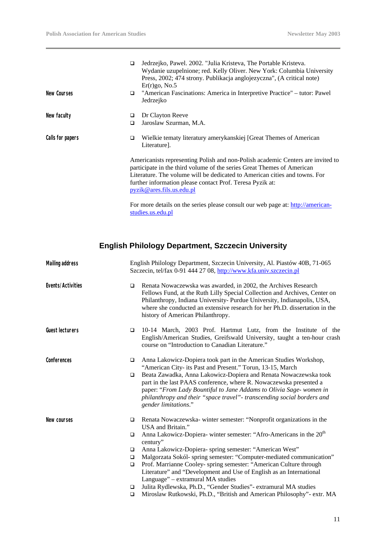|                  | ◻                                                                                                                                                                                                                                                                                                                                 | Jedrzejko, Pawel. 2002. "Julia Kristeva, The Portable Kristeva.<br>Wydanie uzupelnione; red. Kelly Oliver. New York: Columbia University<br>Press, 2002; 474 strony. Publikacja anglojezyczna", (A critical note)<br>$Er(r)go$ , No.5 |
|------------------|-----------------------------------------------------------------------------------------------------------------------------------------------------------------------------------------------------------------------------------------------------------------------------------------------------------------------------------|---------------------------------------------------------------------------------------------------------------------------------------------------------------------------------------------------------------------------------------|
| New Courses      | □                                                                                                                                                                                                                                                                                                                                 | "American Fascinations: America in Interpretive Practice" – tutor: Pawel<br>Jedrzejko                                                                                                                                                 |
| New faculty      | □                                                                                                                                                                                                                                                                                                                                 | Dr Clayton Reeve                                                                                                                                                                                                                      |
|                  | □                                                                                                                                                                                                                                                                                                                                 | Jaroslaw Szurman, M.A.                                                                                                                                                                                                                |
| Calls for papers | □                                                                                                                                                                                                                                                                                                                                 | Wielkie tematy literatury amerykanskiej [Great Themes of American<br>Literature].                                                                                                                                                     |
|                  | Americanists representing Polish and non-Polish academic Centers are invited to<br>participate in the third volume of the series Great Themes of American<br>Literature. The volume will be dedicated to American cities and towns. For<br>further information please contact Prof. Teresa Pyzik at:<br>pyzik@ares.fils.us.edu.pl |                                                                                                                                                                                                                                       |
|                  |                                                                                                                                                                                                                                                                                                                                   | For more details on the series please consult our web page at: http://american-<br>studies.us.edu.pl                                                                                                                                  |

# **English Philology Department, Szczecin University**

| <b>Mailing address</b> |                                                | English Philology Department, Szczecin University, Al. Piastów 40B, 71-065<br>Szczecin, tel/fax 0-91 444 27 08, http://www.kfa.univ.szczecin.pl                                                                                                                                                                                                                                                                                                                                                                                                                                                                                                             |  |
|------------------------|------------------------------------------------|-------------------------------------------------------------------------------------------------------------------------------------------------------------------------------------------------------------------------------------------------------------------------------------------------------------------------------------------------------------------------------------------------------------------------------------------------------------------------------------------------------------------------------------------------------------------------------------------------------------------------------------------------------------|--|
| Events/Activities      | $\Box$                                         | Renata Nowaczewska was awarded, in 2002, the Archives Research<br>Fellows Fund, at the Ruth Lilly Special Collection and Archives, Center on<br>Philanthropy, Indiana University-Purdue University, Indianapolis, USA,<br>where she conducted an extensive research for her Ph.D. dissertation in the<br>history of American Philanthropy.                                                                                                                                                                                                                                                                                                                  |  |
| <b>Guest lecturers</b> | $\Box$                                         | 10-14 March, 2003 Prof. Hartmut Lutz, from the Institute of the<br>English/American Studies, Greifswald University, taught a ten-hour crash<br>course on "Introduction to Canadian Literature."                                                                                                                                                                                                                                                                                                                                                                                                                                                             |  |
| Conferences            | □<br>$\Box$                                    | Anna Lakowicz-Dopiera took part in the American Studies Workshop,<br>"American City- its Past and Present." Torun, 13-15, March<br>Beata Zawadka, Anna Lakowicz-Dopiera and Renata Nowaczewska took<br>part in the last PAAS conference, where R. Nowaczewska presented a<br>paper: "From Lady Bountiful to Jane Addams to Olivia Sage- women in<br>philanthropy and their "space travel"- transcending social borders and<br>gender limitations."                                                                                                                                                                                                          |  |
| New courses            | ▫<br>□<br>$\Box$<br>□<br>$\Box$<br>□<br>$\Box$ | Renata Nowaczewska-winter semester: "Nonprofit organizations in the<br>USA and Britain."<br>Anna Lakowicz-Dopiera- winter semester: "Afro-Americans in the 20 <sup>th</sup><br>century"<br>Anna Lakowicz-Dopiera- spring semester: "American West"<br>Malgorzata Sokól- spring semester: "Computer-mediated communication"<br>Prof. Marrianne Cooley-spring semester: "American Culture through<br>Literature" and "Development and Use of English as an International<br>Language" – extramural MA studies<br>Julita Rydlewska, Ph.D., "Gender Studies" - extramural MA studies<br>Miroslaw Rutkowski, Ph.D., "British and American Philosophy" - extr. MA |  |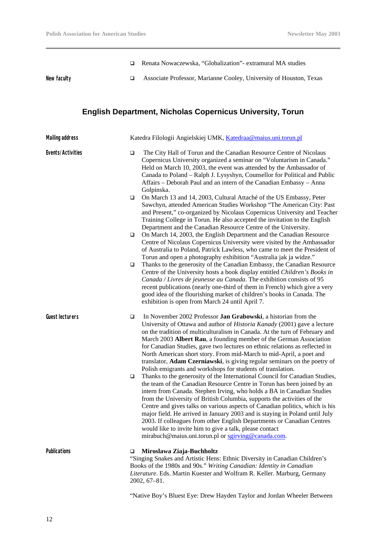q Renata Nowaczewska, "Globalization"- extramural MA studies

New faculty **□** Associate Professor, Marianne Cooley, University of Houston, Texas

### **English Department, Nicholas Copernicus University, Torun**

| <b>Mailing address</b> | Katedra Filologii Angielskiej UMK, Katedraa@maius.uni.torun.pl |                                                                                                                                                                                                                                                                                                                                                                                                                                                                                                                                                                                                                                                                        |
|------------------------|----------------------------------------------------------------|------------------------------------------------------------------------------------------------------------------------------------------------------------------------------------------------------------------------------------------------------------------------------------------------------------------------------------------------------------------------------------------------------------------------------------------------------------------------------------------------------------------------------------------------------------------------------------------------------------------------------------------------------------------------|
| Events/Activities      | □                                                              | The City Hall of Torun and the Canadian Resource Centre of Nicolaus<br>Copernicus University organized a seminar on "Voluntarism in Canada."<br>Held on March 10, 2003, the event was attended by the Ambassador of<br>Canada to Poland - Ralph J. Lysyshyn, Counsellor for Political and Public<br>Affairs - Deborah Paul and an intern of the Canadian Embassy - Anna<br>Golpinska.                                                                                                                                                                                                                                                                                  |
|                        | □                                                              | On March 13 and 14, 2003, Cultural Attaché of the US Embassy, Peter<br>Sawchyn, attended American Studies Workshop "The American City: Past<br>and Present," co-organized by Nicolaus Copernicus University and Teacher<br>Training College in Torun. He also accepted the invitation to the English                                                                                                                                                                                                                                                                                                                                                                   |
|                        | ❏                                                              | Department and the Canadian Resource Centre of the University.<br>On March 14, 2003, the English Department and the Canadian Resource<br>Centre of Nicolaus Copernicus University were visited by the Ambassador<br>of Australia to Poland, Patrick Lawless, who came to meet the President of<br>Torun and open a photography exhibition "Australia jak ja widze."                                                                                                                                                                                                                                                                                                    |
|                        | ❏                                                              | Thanks to the generosity of the Canadian Embassy, the Canadian Resource<br>Centre of the University hosts a book display entitled Children's Books in<br>Canada / Livres de jeunesse au Canada. The exhibition consists of 95<br>recent publications (nearly one-third of them in French) which give a very<br>good idea of the flourishing market of children's books in Canada. The<br>exhibition is open from March 24 until April 7.                                                                                                                                                                                                                               |
| <b>Guest lecturers</b> | □                                                              | In November 2002 Professor Jan Grabowski, a historian from the<br>University of Ottawa and author of <i>Historia Kanady</i> (2001) gave a lecture<br>on the tradition of multiculturalism in Canada. At the turn of February and<br>March 2003 Albert Rau, a founding member of the German Association<br>for Canadian Studies, gave two lectures on ethnic relations as reflected in<br>North American short story. From mid-March to mid-April, a poet and<br>translator, Adam Czerniawski, is giving regular seminars on the poetry of<br>Polish emigrants and workshops for students of translation.                                                               |
|                        | □                                                              | Thanks to the generosity of the International Council for Canadian Studies,<br>the team of the Canadian Resource Centre in Torun has been joined by an<br>intern from Canada. Stephen Irving, who holds a BA in Canadian Studies<br>from the University of British Columbia, supports the activities of the<br>Centre and gives talks on various aspects of Canadian politics, which is his<br>major field. He arrived in January 2003 and is staying in Poland until July<br>2003. If colleagues from other English Departments or Canadian Centres<br>would like to invite him to give a talk, please contact<br>mirabuch@maius.uni.torun.pl or sgirving@canada.com. |
| <b>Publications</b>    | □                                                              | Miroslawa Ziaja-Buchholtz<br>"Singing Snakes and Artistic Hens: Ethnic Diversity in Canadian Children's<br>Books of the 1980s and 90s." Writing Canadian: Identity in Canadian<br>Literature. Eds. Martin Kuester and Wolfram R. Keller. Marburg, Germany<br>$2002, 67 - 81.$                                                                                                                                                                                                                                                                                                                                                                                          |
|                        |                                                                | "Native Boy's Bluest Eye: Drew Hayden Taylor and Jordan Wheeler Between                                                                                                                                                                                                                                                                                                                                                                                                                                                                                                                                                                                                |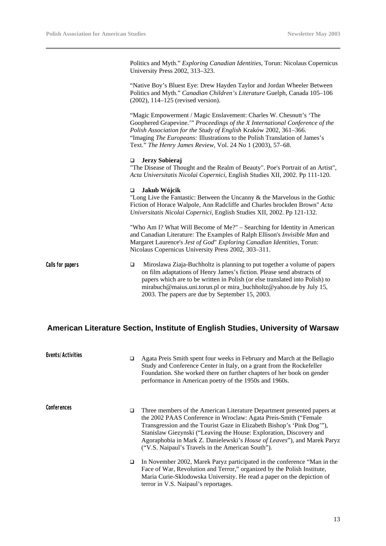Politics and Myth." *Exploring Canadian Identities*, Torun: Nicolaus Copernicus University Press 2002, 313–323.

"Native Boy's Bluest Eye: Drew Hayden Taylor and Jordan Wheeler Between Politics and Myth." *Canadian Children's Literature* Guelph, Canada 105–106 (2002), 114–125 (revised version).

"Magic Empowerment / Magic Enslavement: Charles W. Chesnutt's 'The Goophered Grapevine.'" *Proceedings of the X International Conference of the Polish Association for the Study of English* Kraków 2002, 361–366. "Imaging *The Europeans:* Illustrations to the Polish Translation of James's Text." *The Henry James Review*, Vol. 24 No 1 (2003), 57–68.

#### q **Jerzy Sobieraj**

"The Disease of Thought and the Realm of Beauty". Poe's Portrait of an Artist", *Acta Universitatis Nicolai Copernici,* English Studies XII, 2002. Pp 111-120.

#### q **Jakub Wójcik**

"Long Live the Fantastic: Between the Uncanny & the Marvelous in the Gothic Fiction of Horace Walpole, Ann Radcliffe and Charles brockden Brown" *Acta Universitatis Nicolai Copernici,* English Studies XII, 2002. Pp 121-132.

"Who Am I? What Will Become of Me?" – Searching for Identity in American and Canadian Literature: The Examples of Ralph Ellison's *Invisible Man* and Margaret Laurence's *Jest of God*" *Exploring Canadian Identities*, Torun: Nicolaus Copernicus University Press 2002, 303–311.

Calls for papers  $\Box$  Miroslawa Ziaja-Buchholtz is planning to put together a volume of papers on film adaptations of Henry James's fiction. Please send abstracts of papers which are to be written in Polish (or else translated into Polish) to mirabuch@maius.uni.torun.pl or mira\_buchholtz@yahoo.de by July 15, 2003. The papers are due by September 15, 2003.

#### **American Literature Section, Institute of English Studies, University of Warsaw**

| Events/Activities | ▫ | Agata Preis Smith spent four weeks in February and March at the Bellagio<br>Study and Conference Center in Italy, on a grant from the Rockefeller<br>Foundation. She worked there on further chapters of her book on gender<br>performance in American poetry of the 1950s and 1960s.                                                                                                                                               |
|-------------------|---|-------------------------------------------------------------------------------------------------------------------------------------------------------------------------------------------------------------------------------------------------------------------------------------------------------------------------------------------------------------------------------------------------------------------------------------|
| Conferences       | ▫ | Three members of the American Literature Department presented papers at<br>the 2002 PAAS Conference in Wroclaw: Agata Preis-Smith ("Female<br>Transgression and the Tourist Gaze in Elizabeth Bishop's 'Pink Dog'"),<br>Stanislaw Giezynski ("Leaving the House: Exploration, Discovery and<br>Agoraphobia in Mark Z. Danielewski's <i>House of Leaves</i> "), and Marek Paryz<br>("V.S. Naipaul's Travels in the American South"). |
|                   | ▫ | In November 2002, Marek Paryz participated in the conference "Man in the<br>Face of War, Revolution and Terror," organized by the Polish Institute,<br>Maria Curie-Sklodowska University. He read a paper on the depiction of<br>terror in V.S. Naipaul's reportages.                                                                                                                                                               |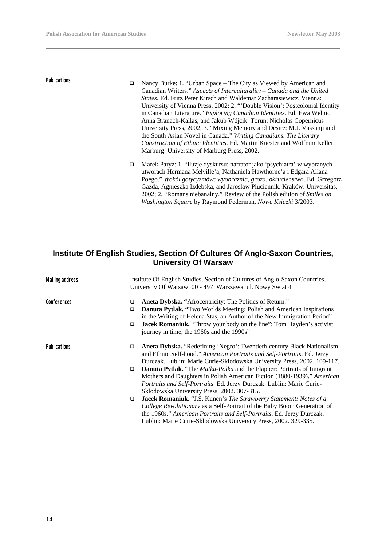- **Publications Q** Nancy Burke: 1. "Urban Space The City as Viewed by American and Canadian Writers." *Aspects of Interculturality – Canada and the United States*. Ed. Fritz Peter Kirsch and Waldemar Zacharasiewicz. Vienna: University of Vienna Press, 2002; 2. "'Double Vision': Postcolonial Identity in Canadian Literature." *Exploring Canadian Identities*. Ed. Ewa Welnic, Anna Branach-Kallas, and Jakub Wójcik. Torun: Nicholas Copernicus University Press, 2002; 3. "Mixing Memory and Desire: M.J. Vassanji and the South Asian Novel in Canada." *Writing Canadians. The Literary Construction of Ethnic Identities*. Ed. Martin Kuester and Wolfram Keller. Marburg: University of Marburg Press, 2002.
	- q Marek Paryz: 1. "Iluzje dyskursu: narrator jako 'psychiatra' w wybranych utworach Hermana Melville'a, Nathaniela Hawthorne'a i Edgara Allana Poego." *Wokól gotycyzmów: wyobraznia, groza, okrucienstwo*. Ed. Grzegorz Gazda, Agnieszka Izdebska, and Jaroslaw Pluciennik. Kraków: Universitas, 2002; 2. "Romans niebanalny." Review of the Polish edition of *Smiles on Washington Square* by Raymond Federman. *Nowe Ksiazki* 3/2003.

#### **Institute Of English Studies, Section Of Cultures Of Anglo-Saxon Countries, University Of Warsaw**

| <b>Mailing address</b> | Institute Of English Studies, Section of Cultures of Anglo-Saxon Countries,<br>University Of Warsaw, 00 - 497 Warszawa, ul. Nowy Swiat 4                                                                                                                                                                                                              |
|------------------------|-------------------------------------------------------------------------------------------------------------------------------------------------------------------------------------------------------------------------------------------------------------------------------------------------------------------------------------------------------|
| Conferences            | Aneta Dybska. "Afrocentricity: The Politics of Return."<br>❏<br><b>Danuta Pytlak.</b> "Two Worlds Meeting: Polish and American Inspirations<br>❏<br>in the Writing of Helena Stas, an Author of the New Immigration Period"<br>Jacek Romaniuk. "Throw your body on the line": Tom Hayden's activist<br>□<br>journey in time, the 1960s and the 1990s" |
| <b>Publications</b>    | Aneta Dybska. "Redefining 'Negro': Twentieth-century Black Nationalism<br>❏<br>and Ethnic Self-hood." American Portraits and Self-Portraits. Ed. Jerzy<br>Durczak. Lublin: Marie Curie-Sklodowska University Press, 2002. 109-117.                                                                                                                    |
|                        | <b>Danuta Pytlak.</b> "The <i>Matka-Polka</i> and the Flapper: Portraits of Imigrant<br>□<br>Mothers and Daughters in Polish American Fiction (1880-1939)." American<br>Portraits and Self-Portraits. Ed. Jerzy Durczak. Lublin: Marie Curie-<br>Sklodowska University Press, 2002. 307-315.                                                          |
|                        | Jacek Romaniuk. "J.S. Kunen's The Strawberry Statement: Notes of a<br>□<br>College Revolutionary as a Self-Portrait of the Baby Boom Generation of<br>the 1960s." American Portraits and Self-Portraits. Ed. Jerzy Durczak.<br>Lublin: Marie Curie-Sklodowska University Press, 2002. 329-335.                                                        |